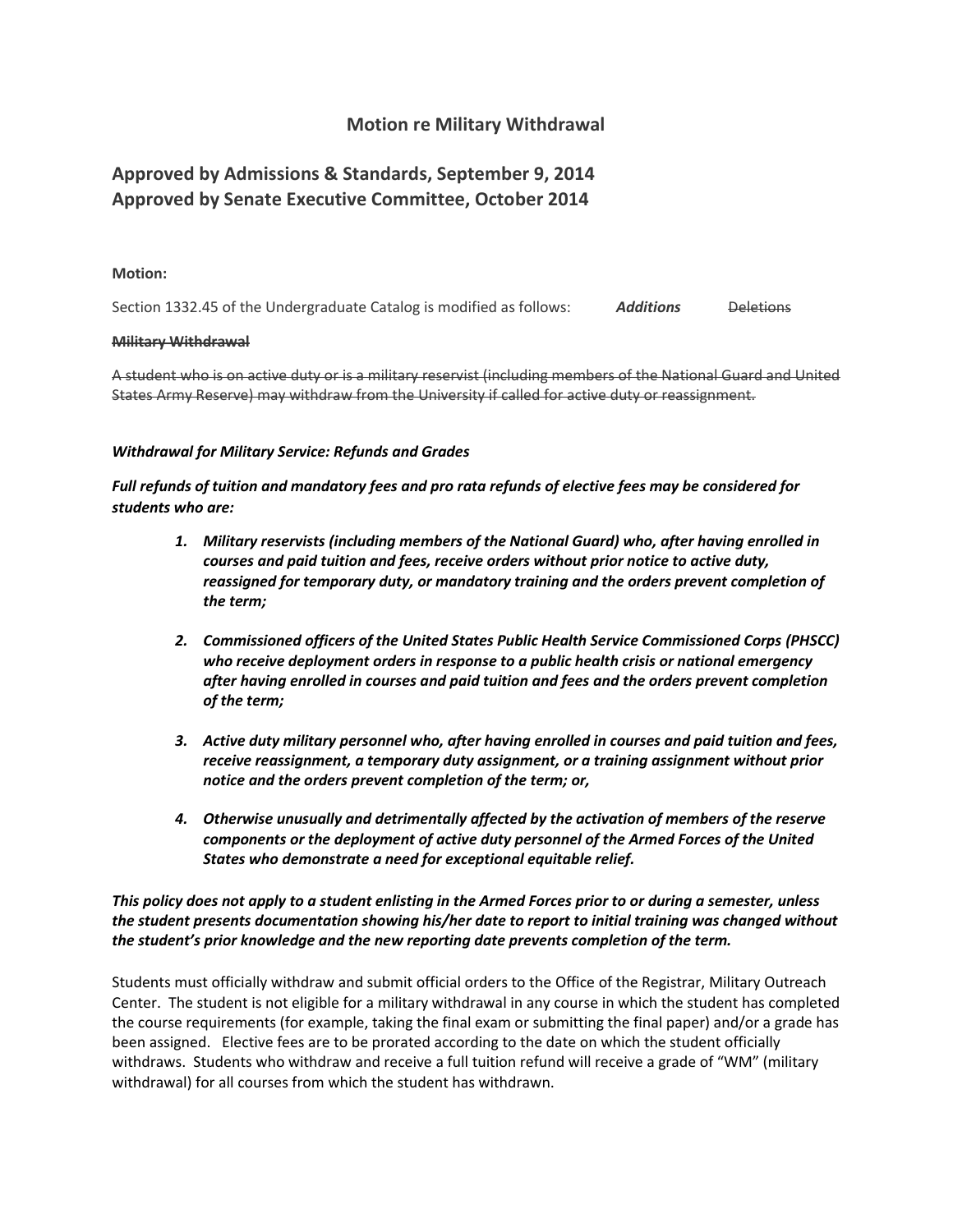## **Motion re Military Withdrawal**

# **Approved by Admissions & Standards, September 9, 2014 Approved by Senate Executive Committee, October 2014**

#### **Motion:**

Section 1332.45 of the Undergraduate Catalog is modified as follows: **Additions** Deletions

#### **Military Withdrawal**

A student who is on active duty or is a military reservist (including members of the National Guard and United States Army Reserve) may withdraw from the University if called for active duty or reassignment.

#### *Withdrawal for Military Service: Refunds and Grades*

*Full refunds of tuition and mandatory fees and pro rata refunds of elective fees may be considered for students who are:* 

- *1. Military reservists (including members of the National Guard) who, after having enrolled in courses and paid tuition and fees, receive orders without prior notice to active duty, reassigned for temporary duty, or mandatory training and the orders prevent completion of the term;*
- *2. Commissioned officers of the United States Public Health Service Commissioned Corps (PHSCC) who receive deployment orders in response to a public health crisis or national emergency after having enrolled in courses and paid tuition and fees and the orders prevent completion of the term;*
- *3. Active duty military personnel who, after having enrolled in courses and paid tuition and fees, receive reassignment, a temporary duty assignment, or a training assignment without prior notice and the orders prevent completion of the term; or,*
- *4. Otherwise unusually and detrimentally affected by the activation of members of the reserve components or the deployment of active duty personnel of the Armed Forces of the United States who demonstrate a need for exceptional equitable relief.*

## *This policy does not apply to a student enlisting in the Armed Forces prior to or during a semester, unless the student presents documentation showing his/her date to report to initial training was changed without the student's prior knowledge and the new reporting date prevents completion of the term.*

Students must officially withdraw and submit official orders to the Office of the Registrar, Military Outreach Center. The student is not eligible for a military withdrawal in any course in which the student has completed the course requirements (for example, taking the final exam or submitting the final paper) and/or a grade has been assigned. Elective fees are to be prorated according to the date on which the student officially withdraws. Students who withdraw and receive a full tuition refund will receive a grade of "WM" (military withdrawal) for all courses from which the student has withdrawn.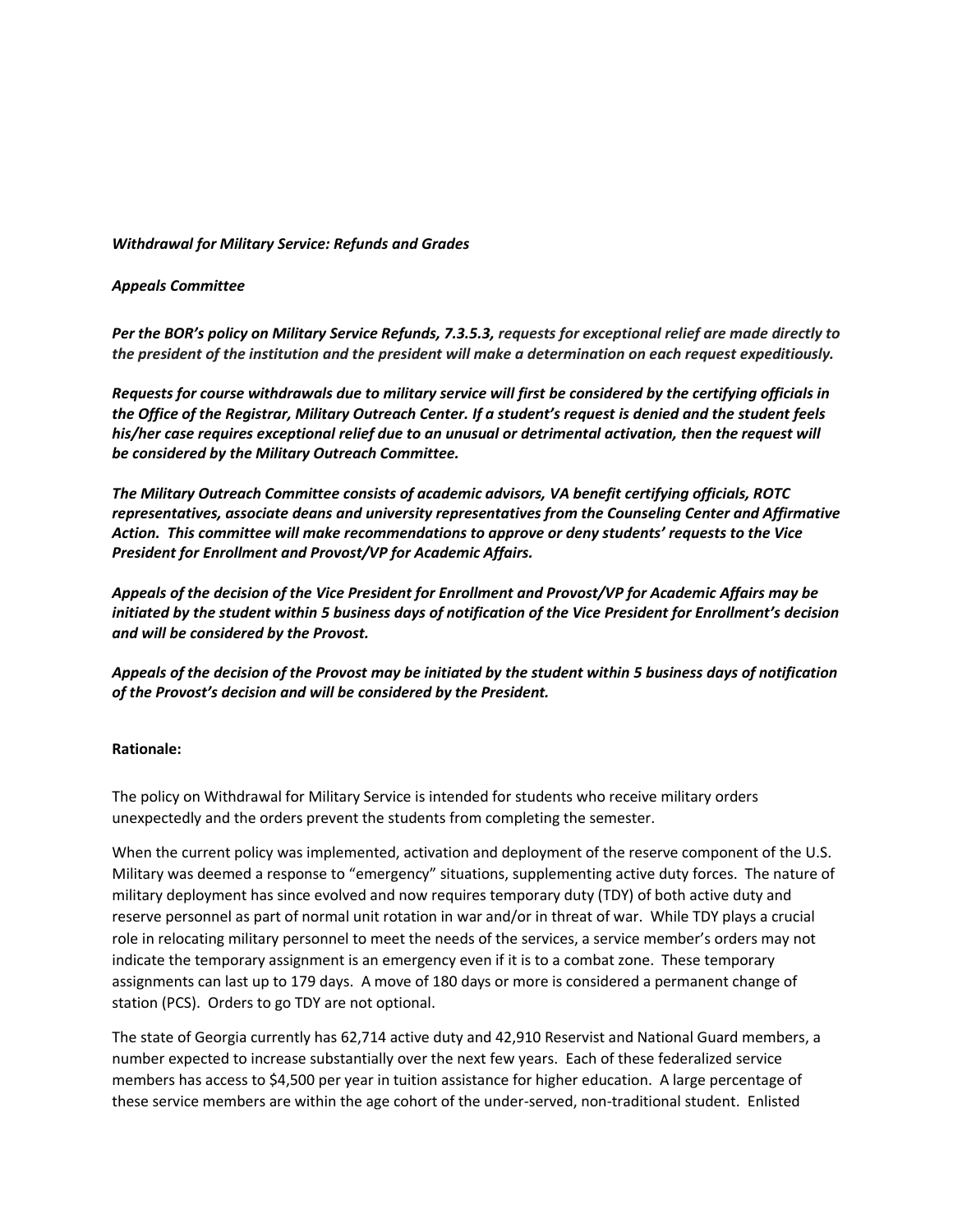#### *Withdrawal for Military Service: Refunds and Grades*

#### *Appeals Committee*

*Per the BOR's policy on Military Service Refunds, 7.3.5.3, requests for exceptional relief are made directly to the president of the institution and the president will make a determination on each request expeditiously.* 

*Requests for course withdrawals due to military service will first be considered by the certifying officials in the Office of the Registrar, Military Outreach Center. If a student's request is denied and the student feels his/her case requires exceptional relief due to an unusual or detrimental activation, then the request will be considered by the Military Outreach Committee.* 

*The Military Outreach Committee consists of academic advisors, VA benefit certifying officials, ROTC representatives, associate deans and university representatives from the Counseling Center and Affirmative Action. This committee will make recommendations to approve or deny students' requests to the Vice President for Enrollment and Provost/VP for Academic Affairs.*

*Appeals of the decision of the Vice President for Enrollment and Provost/VP for Academic Affairs may be initiated by the student within 5 business days of notification of the Vice President for Enrollment's decision and will be considered by the Provost.* 

*Appeals of the decision of the Provost may be initiated by the student within 5 business days of notification of the Provost's decision and will be considered by the President.* 

## **Rationale:**

The policy on Withdrawal for Military Service is intended for students who receive military orders unexpectedly and the orders prevent the students from completing the semester.

When the current policy was implemented, activation and deployment of the reserve component of the U.S. Military was deemed a response to "emergency" situations, supplementing active duty forces. The nature of military deployment has since evolved and now requires temporary duty (TDY) of both active duty and reserve personnel as part of normal unit rotation in war and/or in threat of war. While TDY plays a crucial role in relocating military personnel to meet the needs of the services, a service member's orders may not indicate the temporary assignment is an emergency even if it is to a combat zone. These temporary assignments can last up to 179 days. A move of 180 days or more is considered a permanent change of station (PCS). Orders to go TDY are not optional.

The state of Georgia currently has 62,714 active duty and 42,910 Reservist and National Guard members, a number expected to increase substantially over the next few years. Each of these federalized service members has access to \$4,500 per year in tuition assistance for higher education. A large percentage of these service members are within the age cohort of the under-served, non-traditional student. Enlisted